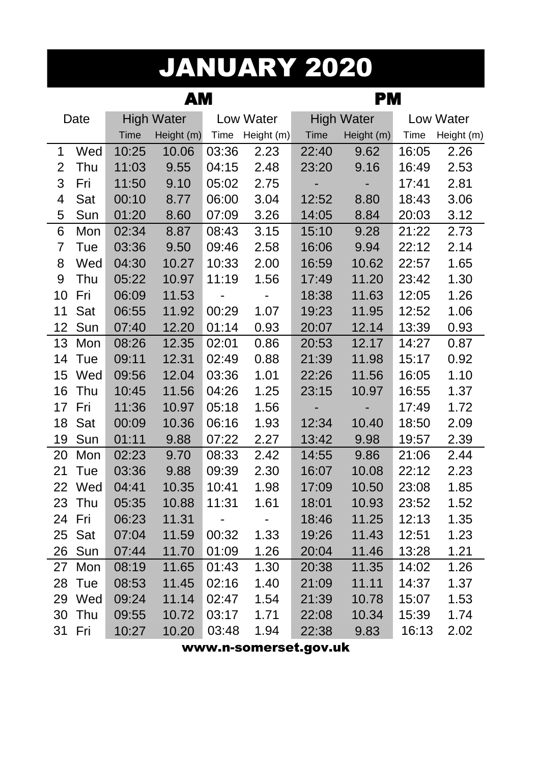# JANUARY 2020

|    |        |             | АM                |       |            | PМ          |                   |       |            |  |
|----|--------|-------------|-------------------|-------|------------|-------------|-------------------|-------|------------|--|
|    | Date   |             | <b>High Water</b> |       | Low Water  |             | <b>High Water</b> |       | Low Water  |  |
|    |        | <b>Time</b> | Height (m)        | Time  | Height (m) | <b>Time</b> | Height (m)        | Time  | Height (m) |  |
| 1  | Wed    | 10:25       | 10.06             | 03:36 | 2.23       | 22:40       | 9.62              | 16:05 | 2.26       |  |
| 2  | Thu    | 11:03       | 9.55              | 04:15 | 2.48       | 23:20       | 9.16              | 16:49 | 2.53       |  |
| 3  | Fri    | 11:50       | 9.10              | 05:02 | 2.75       |             |                   | 17:41 | 2.81       |  |
| 4  | Sat    | 00:10       | 8.77              | 06:00 | 3.04       | 12:52       | 8.80              | 18:43 | 3.06       |  |
| 5  | Sun    | 01:20       | 8.60              | 07:09 | 3.26       | 14:05       | 8.84              | 20:03 | 3.12       |  |
| 6  | Mon    | 02:34       | 8.87              | 08:43 | 3.15       | 15:10       | 9.28              | 21:22 | 2.73       |  |
| 7  | Tue    | 03:36       | 9.50              | 09:46 | 2.58       | 16:06       | 9.94              | 22:12 | 2.14       |  |
| 8  | Wed    | 04:30       | 10.27             | 10:33 | 2.00       | 16:59       | 10.62             | 22:57 | 1.65       |  |
| 9  | Thu    | 05:22       | 10.97             | 11:19 | 1.56       | 17:49       | 11.20             | 23:42 | 1.30       |  |
| 10 | Fri    | 06:09       | 11.53             |       |            | 18:38       | 11.63             | 12:05 | 1.26       |  |
| 11 | Sat    | 06:55       | 11.92             | 00:29 | 1.07       | 19:23       | 11.95             | 12:52 | 1.06       |  |
| 12 | Sun    | 07:40       | 12.20             | 01:14 | 0.93       | 20:07       | 12.14             | 13:39 | 0.93       |  |
| 13 | Mon    | 08:26       | 12.35             | 02:01 | 0.86       | 20:53       | 12.17             | 14:27 | 0.87       |  |
| 14 | Tue    | 09:11       | 12.31             | 02:49 | 0.88       | 21:39       | 11.98             | 15:17 | 0.92       |  |
| 15 | Wed    | 09:56       | 12.04             | 03:36 | 1.01       | 22:26       | 11.56             | 16:05 | 1.10       |  |
| 16 | Thu    | 10:45       | 11.56             | 04:26 | 1.25       | 23:15       | 10.97             | 16:55 | 1.37       |  |
| 17 | Fri    | 11:36       | 10.97             | 05:18 | 1.56       |             |                   | 17:49 | 1.72       |  |
| 18 | Sat    | 00:09       | 10.36             | 06:16 | 1.93       | 12:34       | 10.40             | 18:50 | 2.09       |  |
| 19 | Sun    | 01:11       | 9.88              | 07:22 | 2.27       | 13:42       | 9.98              | 19:57 | 2.39       |  |
| 20 | Mon    | 02:23       | 9.70              | 08:33 | 2.42       | 14:55       | 9.86              | 21:06 | 2.44       |  |
| 21 | Tue    | 03:36       | 9.88              | 09:39 | 2.30       | 16:07       | 10.08             | 22:12 | 2.23       |  |
| 22 | Wed    | 04:41       | 10.35             | 10:41 | 1.98       | 17:09       | 10.50             | 23:08 | 1.85       |  |
|    | 23 Thu | 05:35       | 10.88             | 11:31 | 1.61       | 18:01       | 10.93             | 23:52 | 1.52       |  |
|    | 24 Fri | 06:23       | 11.31             |       |            | 18:46       | 11.25             | 12:13 | 1.35       |  |
|    | 25 Sat | 07:04       | 11.59             | 00:32 | 1.33       | 19:26       | 11.43             | 12:51 | 1.23       |  |
|    | 26 Sun | 07:44       | 11.70             | 01:09 | 1.26       | 20:04       | 11.46             | 13:28 | 1.21       |  |
|    | 27 Mon | 08:19       | 11.65             | 01:43 | 1.30       | 20:38       | 11.35             | 14:02 | 1.26       |  |
|    | 28 Tue | 08:53       | 11.45             | 02:16 | 1.40       | 21:09       | 11.11             | 14:37 | 1.37       |  |
|    | 29 Wed | 09:24       | 11.14             | 02:47 | 1.54       | 21:39       | 10.78             | 15:07 | 1.53       |  |
|    | 30 Thu | 09:55       | 10.72             | 03:17 | 1.71       | 22:08       | 10.34             | 15:39 | 1.74       |  |
| 31 | Fri    | 10:27       | 10.20             | 03:48 | 1.94       | 22:38       | 9.83              | 16:13 | 2.02       |  |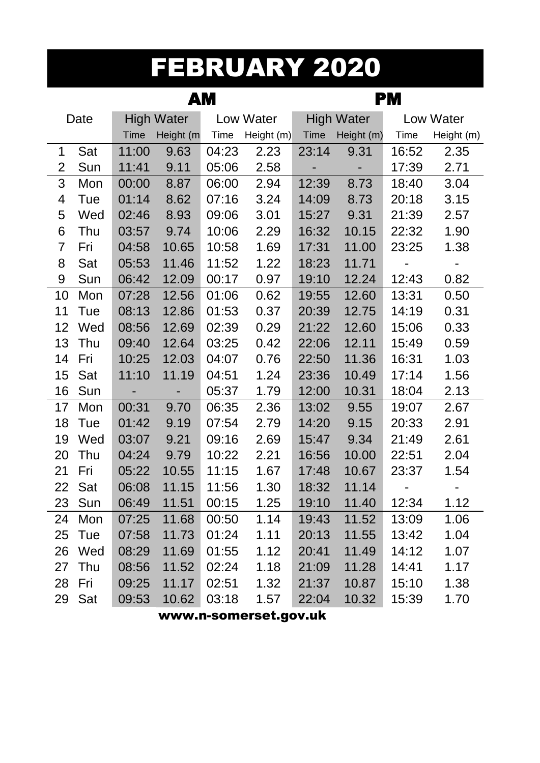### FEBRUARY 2020

|    |      |             | AМ                |       |            | PМ          |                   |       |            |  |
|----|------|-------------|-------------------|-------|------------|-------------|-------------------|-------|------------|--|
|    | Date |             | <b>High Water</b> |       | Low Water  |             | <b>High Water</b> |       | Low Water  |  |
|    |      | <b>Time</b> | Height (m         | Time  | Height (m) | <b>Time</b> | Height (m)        | Time  | Height (m) |  |
| 1  | Sat  | 11:00       | 9.63              | 04:23 | 2.23       | 23:14       | 9.31              | 16:52 | 2.35       |  |
| 2  | Sun  | 11:41       | 9.11              | 05:06 | 2.58       | -           | -                 | 17:39 | 2.71       |  |
| 3  | Mon  | 00:00       | 8.87              | 06:00 | 2.94       | 12:39       | 8.73              | 18:40 | 3.04       |  |
| 4  | Tue  | 01:14       | 8.62              | 07:16 | 3.24       | 14:09       | 8.73              | 20:18 | 3.15       |  |
| 5  | Wed  | 02:46       | 8.93              | 09:06 | 3.01       | 15:27       | 9.31              | 21:39 | 2.57       |  |
| 6  | Thu  | 03:57       | 9.74              | 10:06 | 2.29       | 16:32       | 10.15             | 22:32 | 1.90       |  |
| 7  | Fri  | 04:58       | 10.65             | 10:58 | 1.69       | 17:31       | 11.00             | 23:25 | 1.38       |  |
| 8  | Sat  | 05:53       | 11.46             | 11:52 | 1.22       | 18:23       | 11.71             |       |            |  |
| 9  | Sun  | 06:42       | 12.09             | 00:17 | 0.97       | 19:10       | 12.24             | 12:43 | 0.82       |  |
| 10 | Mon  | 07:28       | 12.56             | 01:06 | 0.62       | 19:55       | 12.60             | 13:31 | 0.50       |  |
| 11 | Tue  | 08:13       | 12.86             | 01:53 | 0.37       | 20:39       | 12.75             | 14:19 | 0.31       |  |
| 12 | Wed  | 08:56       | 12.69             | 02:39 | 0.29       | 21:22       | 12.60             | 15:06 | 0.33       |  |
| 13 | Thu  | 09:40       | 12.64             | 03:25 | 0.42       | 22:06       | 12.11             | 15:49 | 0.59       |  |
| 14 | Fri  | 10:25       | 12.03             | 04:07 | 0.76       | 22:50       | 11.36             | 16:31 | 1.03       |  |
| 15 | Sat  | 11:10       | 11.19             | 04:51 | 1.24       | 23:36       | 10.49             | 17:14 | 1.56       |  |
| 16 | Sun  |             | -                 | 05:37 | 1.79       | 12:00       | 10.31             | 18:04 | 2.13       |  |
| 17 | Mon  | 00:31       | 9.70              | 06:35 | 2.36       | 13:02       | 9.55              | 19:07 | 2.67       |  |
| 18 | Tue  | 01:42       | 9.19              | 07:54 | 2.79       | 14:20       | 9.15              | 20:33 | 2.91       |  |
| 19 | Wed  | 03:07       | 9.21              | 09:16 | 2.69       | 15:47       | 9.34              | 21:49 | 2.61       |  |
| 20 | Thu  | 04:24       | 9.79              | 10:22 | 2.21       | 16:56       | 10.00             | 22:51 | 2.04       |  |
| 21 | Fri  | 05:22       | 10.55             | 11:15 | 1.67       | 17:48       | 10.67             | 23:37 | 1.54       |  |
| 22 | Sat  | 06:08       | 11.15             | 11:56 | 1.30       | 18:32       | 11.14             |       |            |  |
| 23 | Sun  | 06:49       | 11.51             | 00:15 | 1.25       | 19:10       | 11.40             | 12:34 | 1.12       |  |
| 24 | Mon  | 07:25       | 11.68             | 00:50 | 1.14       | 19:43       | 11.52             | 13:09 | 1.06       |  |
| 25 | Tue  | 07:58       | 11.73             | 01:24 | 1.11       | 20:13       | 11.55             | 13:42 | 1.04       |  |
| 26 | Wed  | 08:29       | 11.69             | 01:55 | 1.12       | 20:41       | 11.49             | 14:12 | 1.07       |  |
| 27 | Thu  | 08:56       | 11.52             | 02:24 | 1.18       | 21:09       | 11.28             | 14:41 | 1.17       |  |
| 28 | Fri  | 09:25       | 11.17             | 02:51 | 1.32       | 21:37       | 10.87             | 15:10 | 1.38       |  |
| 29 | Sat  | 09:53       | 10.62             | 03:18 | 1.57       | 22:04       | 10.32             | 15:39 | 1.70       |  |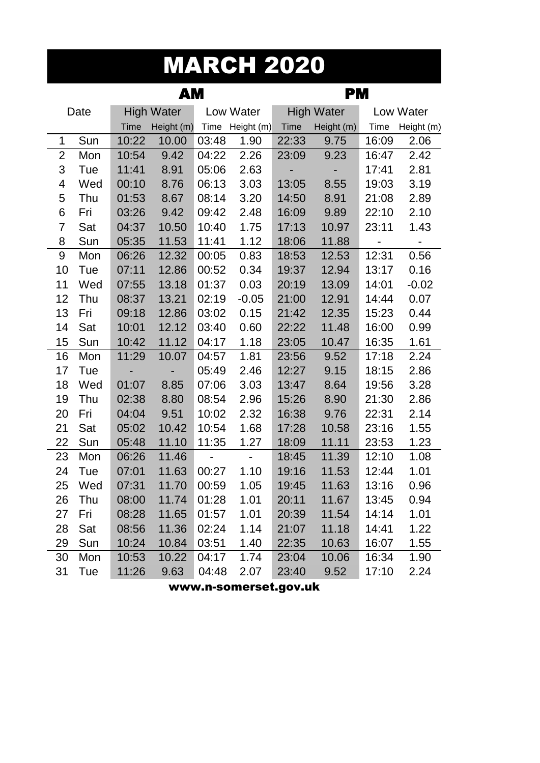### MARCH 2020

|    |      |       | AМ                |                | <b>PM</b>      |             |                   |                              |                |
|----|------|-------|-------------------|----------------|----------------|-------------|-------------------|------------------------------|----------------|
|    | Date |       | <b>High Water</b> |                | Low Water      |             | <b>High Water</b> |                              | Low Water      |
|    |      | Time  | Height (m)        | Time           | Height (m)     | <b>Time</b> | Height (m)        | Time                         | Height (m)     |
| 1  | Sun  | 10:22 | 10.00             | 03:48          | 1.90           | 22:33       | 9.75              | 16:09                        | 2.06           |
| 2  | Mon  | 10:54 | 9.42              | 04:22          | 2.26           | 23:09       | 9.23              | 16:47                        | 2.42           |
| 3  | Tue  | 11:41 | 8.91              | 05:06          | 2.63           |             |                   | 17:41                        | 2.81           |
| 4  | Wed  | 00:10 | 8.76              | 06:13          | 3.03           | 13:05       | 8.55              | 19:03                        | 3.19           |
| 5  | Thu  | 01:53 | 8.67              | 08:14          | 3.20           | 14:50       | 8.91              | 21:08                        | 2.89           |
| 6  | Fri  | 03:26 | 9.42              | 09:42          | 2.48           | 16:09       | 9.89              | 22:10                        | 2.10           |
| 7  | Sat  | 04:37 | 10.50             | 10:40          | 1.75           | 17:13       | 10.97             | 23:11                        | 1.43           |
| 8  | Sun  | 05:35 | 11.53             | 11:41          | 1.12           | 18:06       | 11.88             | $\qquad \qquad \blacksquare$ | $\blacksquare$ |
| 9  | Mon  | 06:26 | 12.32             | 00:05          | 0.83           | 18:53       | 12.53             | 12:31                        | 0.56           |
| 10 | Tue  | 07:11 | 12.86             | 00:52          | 0.34           | 19:37       | 12.94             | 13:17                        | 0.16           |
| 11 | Wed  | 07:55 | 13.18             | 01:37          | 0.03           | 20:19       | 13.09             | 14:01                        | $-0.02$        |
| 12 | Thu  | 08:37 | 13.21             | 02:19          | $-0.05$        | 21:00       | 12.91             | 14:44                        | 0.07           |
| 13 | Fri  | 09:18 | 12.86             | 03:02          | 0.15           | 21:42       | 12.35             | 15:23                        | 0.44           |
| 14 | Sat  | 10:01 | 12.12             | 03:40          | 0.60           | 22:22       | 11.48             | 16:00                        | 0.99           |
| 15 | Sun  | 10:42 | 11.12             | 04:17          | 1.18           | 23:05       | 10.47             | 16:35                        | 1.61           |
| 16 | Mon  | 11:29 | 10.07             | 04:57          | 1.81           | 23:56       | 9.52              | 17:18                        | 2.24           |
| 17 | Tue  | -     |                   | 05:49          | 2.46           | 12:27       | 9.15              | 18:15                        | 2.86           |
| 18 | Wed  | 01:07 | 8.85              | 07:06          | 3.03           | 13:47       | 8.64              | 19:56                        | 3.28           |
| 19 | Thu  | 02:38 | 8.80              | 08:54          | 2.96           | 15:26       | 8.90              | 21:30                        | 2.86           |
| 20 | Fri  | 04:04 | 9.51              | 10:02          | 2.32           | 16:38       | 9.76              | 22:31                        | 2.14           |
| 21 | Sat  | 05:02 | 10.42             | 10:54          | 1.68           | 17:28       | 10.58             | 23:16                        | 1.55           |
| 22 | Sun  | 05:48 | 11.10             | 11:35          | 1.27           | 18:09       | 11.11             | 23:53                        | 1.23           |
| 23 | Mon  | 06:26 | 11.46             | $\blacksquare$ | $\blacksquare$ | 18:45       | 11.39             | 12:10                        | 1.08           |
| 24 | Tue  | 07:01 | 11.63             | 00:27          | 1.10           | 19:16       | 11.53             | 12:44                        | 1.01           |
| 25 | Wed  | 07:31 | 11.70             | 00:59          | 1.05           | 19:45       | 11.63             | 13:16                        | 0.96           |
| 26 | Thu  | 08:00 | 11.74             | 01:28          | 1.01           | 20:11       | 11.67             | 13:45                        | 0.94           |
| 27 | Fri  | 08:28 | 11.65             | 01:57          | 1.01           | 20:39       | 11.54             | 14:14                        | 1.01           |
| 28 | Sat  | 08:56 | 11.36             | 02:24          | 1.14           | 21:07       | 11.18             | 14:41                        | 1.22           |
| 29 | Sun  | 10:24 | 10.84             | 03:51          | 1.40           | 22:35       | 10.63             | 16:07                        | 1.55           |
| 30 | Mon  | 10:53 | 10.22             | 04:17          | 1.74           | 23:04       | 10.06             | 16:34                        | 1.90           |
| 31 | Tue  | 11:26 | 9.63              | 04:48          | 2.07           | 23:40       | 9.52              | 17:10                        | 2.24           |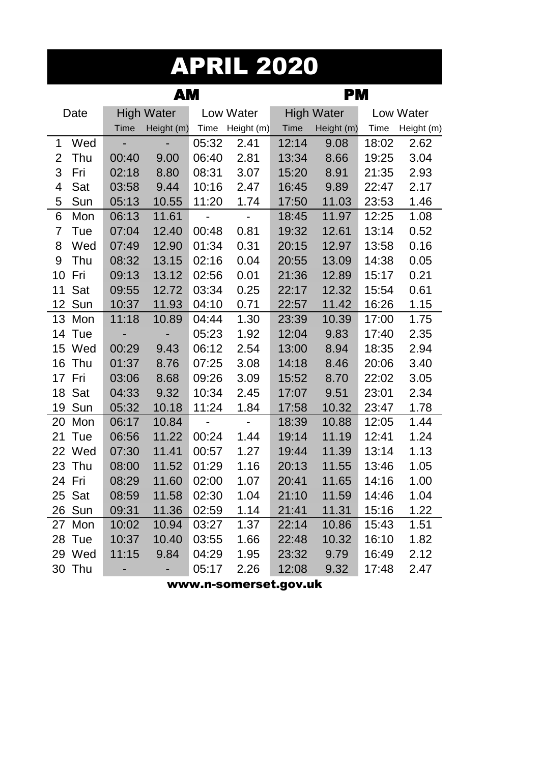#### APRIL 2020

|                |        |                          | АM                |                |                | PМ          |                   |             |            |  |
|----------------|--------|--------------------------|-------------------|----------------|----------------|-------------|-------------------|-------------|------------|--|
|                | Date   |                          | <b>High Water</b> |                | Low Water      |             | <b>High Water</b> |             | Low Water  |  |
|                |        | <b>Time</b>              | Height (m)        | Time           | Height (m)     | <b>Time</b> | Height (m)        | <b>Time</b> | Height (m) |  |
| 1              | Wed    | $\overline{\phantom{a}}$ |                   | 05:32          | 2.41           | 12:14       | 9.08              | 18:02       | 2.62       |  |
| $\overline{2}$ | Thu    | 00:40                    | 9.00              | 06:40          | 2.81           | 13:34       | 8.66              | 19:25       | 3.04       |  |
| 3              | Fri    | 02:18                    | 8.80              | 08:31          | 3.07           | 15:20       | 8.91              | 21:35       | 2.93       |  |
| $\overline{4}$ | Sat    | 03:58                    | 9.44              | 10:16          | 2.47           | 16:45       | 9.89              | 22:47       | 2.17       |  |
| 5              | Sun    | 05:13                    | 10.55             | 11:20          | 1.74           | 17:50       | 11.03             | 23:53       | 1.46       |  |
| 6              | Mon    | 06:13                    | 11.61             | $\overline{a}$ | $\blacksquare$ | 18:45       | 11.97             | 12:25       | 1.08       |  |
| $\overline{7}$ | Tue    | 07:04                    | 12.40             | 00:48          | 0.81           | 19:32       | 12.61             | 13:14       | 0.52       |  |
| 8              | Wed    | 07:49                    | 12.90             | 01:34          | 0.31           | 20:15       | 12.97             | 13:58       | 0.16       |  |
| 9              | Thu    | 08:32                    | 13.15             | 02:16          | 0.04           | 20:55       | 13.09             | 14:38       | 0.05       |  |
| 10             | Fri    | 09:13                    | 13.12             | 02:56          | 0.01           | 21:36       | 12.89             | 15:17       | 0.21       |  |
| 11             | Sat    | 09:55                    | 12.72             | 03:34          | 0.25           | 22:17       | 12.32             | 15:54       | 0.61       |  |
|                | 12 Sun | 10:37                    | 11.93             | 04:10          | 0.71           | 22:57       | 11.42             | 16:26       | 1.15       |  |
|                | 13 Mon | 11:18                    | 10.89             | 04:44          | 1.30           | 23:39       | 10.39             | 17:00       | 1.75       |  |
|                | 14 Tue | -                        |                   | 05:23          | 1.92           | 12:04       | 9.83              | 17:40       | 2.35       |  |
|                | 15 Wed | 00:29                    | 9.43              | 06:12          | 2.54           | 13:00       | 8.94              | 18:35       | 2.94       |  |
| 16             | Thu    | 01:37                    | 8.76              | 07:25          | 3.08           | 14:18       | 8.46              | 20:06       | 3.40       |  |
|                | 17 Fri | 03:06                    | 8.68              | 09:26          | 3.09           | 15:52       | 8.70              | 22:02       | 3.05       |  |
| 18             | Sat    | 04:33                    | 9.32              | 10:34          | 2.45           | 17:07       | 9.51              | 23:01       | 2.34       |  |
| 19             | Sun    | 05:32                    | 10.18             | 11:24          | 1.84           | 17:58       | 10.32             | 23:47       | 1.78       |  |
| 20             | Mon    | 06:17                    | 10.84             | $\blacksquare$ | $\blacksquare$ | 18:39       | 10.88             | 12:05       | 1.44       |  |
| 21             | Tue    | 06:56                    | 11.22             | 00:24          | 1.44           | 19:14       | 11.19             | 12:41       | 1.24       |  |
|                | 22 Wed | 07:30                    | 11.41             | 00:57          | 1.27           | 19:44       | 11.39             | 13:14       | 1.13       |  |
| 23             | Thu    | 08:00                    | 11.52             | 01:29          | 1.16           | 20:13       | 11.55             | 13:46       | 1.05       |  |
|                | 24 Fri | 08:29                    | 11.60             | 02:00          | 1.07           | 20:41       | 11.65             | 14:16       | 1.00       |  |
|                | 25 Sat | 08:59                    | 11.58             | 02:30          | 1.04           | 21:10       | 11.59             | 14:46       | 1.04       |  |
|                | 26 Sun | 09:31                    | 11.36             | 02:59          | 1.14           | 21:41       | 11.31             | 15:16       | 1.22       |  |
|                | 27 Mon | 10:02                    | 10.94             | 03:27          | 1.37           | 22:14       | 10.86             | 15:43       | 1.51       |  |
|                | 28 Tue | 10:37                    | 10.40             | 03:55          | 1.66           | 22:48       | 10.32             | 16:10       | 1.82       |  |
|                | 29 Wed | 11:15                    | 9.84              | 04:29          | 1.95           | 23:32       | 9.79              | 16:49       | 2.12       |  |
|                | 30 Thu |                          |                   | 05:17          | 2.26           | 12:08       | 9.32              | 17:48       | 2.47       |  |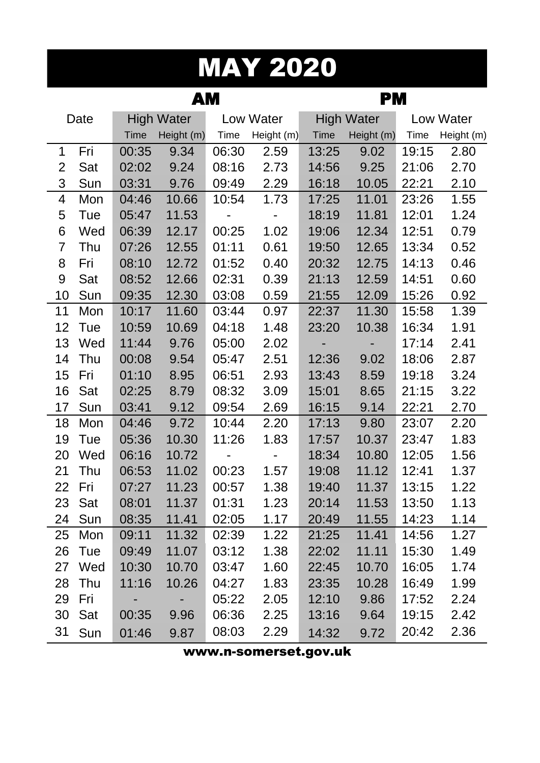# MAY 2020

|                |      |       | АM                |       | PМ         |       |                   |       |            |  |  |
|----------------|------|-------|-------------------|-------|------------|-------|-------------------|-------|------------|--|--|
|                | Date |       | <b>High Water</b> |       | Low Water  |       | <b>High Water</b> |       | Low Water  |  |  |
|                |      | Time  | Height (m)        | Time  | Height (m) | Time  | Height (m)        | Time  | Height (m) |  |  |
| 1              | Fri  | 00:35 | 9.34              | 06:30 | 2.59       | 13:25 | 9.02              | 19:15 | 2.80       |  |  |
| $\overline{2}$ | Sat  | 02:02 | 9.24              | 08:16 | 2.73       | 14:56 | 9.25              | 21:06 | 2.70       |  |  |
| 3              | Sun  | 03:31 | 9.76              | 09:49 | 2.29       | 16:18 | 10.05             | 22:21 | 2.10       |  |  |
| 4              | Mon  | 04:46 | 10.66             | 10:54 | 1.73       | 17:25 | 11.01             | 23:26 | 1.55       |  |  |
| 5              | Tue  | 05:47 | 11.53             |       |            | 18:19 | 11.81             | 12:01 | 1.24       |  |  |
| 6              | Wed  | 06:39 | 12.17             | 00:25 | 1.02       | 19:06 | 12.34             | 12:51 | 0.79       |  |  |
| 7              | Thu  | 07:26 | 12.55             | 01:11 | 0.61       | 19:50 | 12.65             | 13:34 | 0.52       |  |  |
| 8              | Fri  | 08:10 | 12.72             | 01:52 | 0.40       | 20:32 | 12.75             | 14:13 | 0.46       |  |  |
| 9              | Sat  | 08:52 | 12.66             | 02:31 | 0.39       | 21:13 | 12.59             | 14:51 | 0.60       |  |  |
| 10             | Sun  | 09:35 | 12.30             | 03:08 | 0.59       | 21:55 | 12.09             | 15:26 | 0.92       |  |  |
| 11             | Mon  | 10:17 | 11.60             | 03:44 | 0.97       | 22:37 | 11.30             | 15:58 | 1.39       |  |  |
| 12             | Tue  | 10:59 | 10.69             | 04:18 | 1.48       | 23:20 | 10.38             | 16:34 | 1.91       |  |  |
| 13             | Wed  | 11:44 | 9.76              | 05:00 | 2.02       |       |                   | 17:14 | 2.41       |  |  |
| 14             | Thu  | 00:08 | 9.54              | 05:47 | 2.51       | 12:36 | 9.02              | 18:06 | 2.87       |  |  |
| 15             | Fri  | 01:10 | 8.95              | 06:51 | 2.93       | 13:43 | 8.59              | 19:18 | 3.24       |  |  |
| 16             | Sat  | 02:25 | 8.79              | 08:32 | 3.09       | 15:01 | 8.65              | 21:15 | 3.22       |  |  |
| 17             | Sun  | 03:41 | 9.12              | 09:54 | 2.69       | 16:15 | 9.14              | 22:21 | 2.70       |  |  |
| 18             | Mon  | 04:46 | 9.72              | 10:44 | 2.20       | 17:13 | 9.80              | 23:07 | 2.20       |  |  |
| 19             | Tue  | 05:36 | 10.30             | 11:26 | 1.83       | 17:57 | 10.37             | 23:47 | 1.83       |  |  |
| 20             | Wed  | 06:16 | 10.72             |       |            | 18:34 | 10.80             | 12:05 | 1.56       |  |  |
| 21             | Thu  | 06:53 | 11.02             | 00:23 | 1.57       | 19:08 | 11.12             | 12:41 | 1.37       |  |  |
| 22             | Fri  | 07:27 | 11.23             | 00:57 | 1.38       | 19:40 | 11.37             | 13:15 | 1.22       |  |  |
| 23             | Sat  | 08:01 | 11.37             | 01:31 | 1.23       | 20:14 | 11.53             | 13:50 | 1.13       |  |  |
| 24             | Sun  | 08:35 | 11.41             | 02:05 | 1.17       | 20:49 | 11.55             | 14:23 | 1.14       |  |  |
| 25             | Mon  | 09:11 | 11.32             | 02:39 | 1.22       | 21:25 | 11.41             | 14:56 | 1.27       |  |  |
| 26             | Tue  | 09:49 | 11.07             | 03:12 | 1.38       | 22:02 | 11.11             | 15:30 | 1.49       |  |  |
| 27             | Wed  | 10:30 | 10.70             | 03:47 | 1.60       | 22:45 | 10.70             | 16:05 | 1.74       |  |  |
| 28             | Thu  | 11:16 | 10.26             | 04:27 | 1.83       | 23:35 | 10.28             | 16:49 | 1.99       |  |  |
| 29             | Fri  |       |                   | 05:22 | 2.05       | 12:10 | 9.86              | 17:52 | 2.24       |  |  |
| 30             | Sat  | 00:35 | 9.96              | 06:36 | 2.25       | 13:16 | 9.64              | 19:15 | 2.42       |  |  |
| 31             | Sun  | 01:46 | 9.87              | 08:03 | 2.29       | 14:32 | 9.72              | 20:42 | 2.36       |  |  |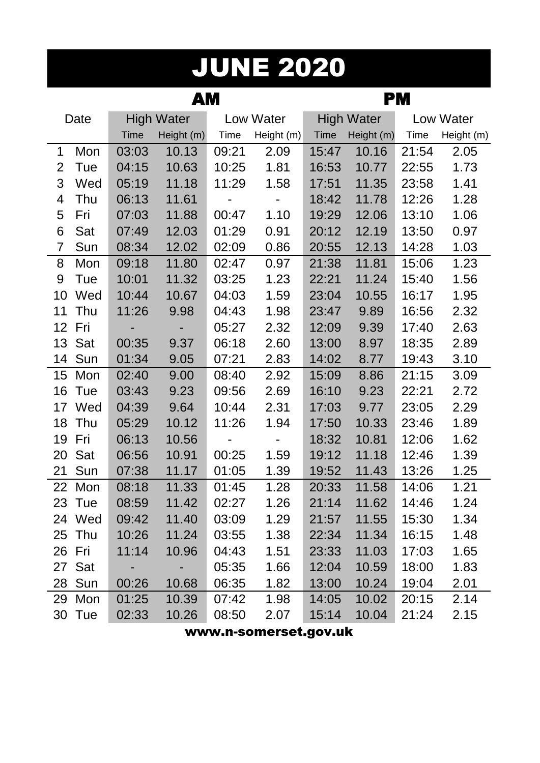# JUNE 2020

|    |        |       | AM                |       |            | PM          |                   |       |            |  |
|----|--------|-------|-------------------|-------|------------|-------------|-------------------|-------|------------|--|
|    | Date   |       | <b>High Water</b> |       | Low Water  |             | <b>High Water</b> |       | Low Water  |  |
|    |        | Time  | Height (m)        | Time  | Height (m) | <b>Time</b> | Height (m)        | Time  | Height (m) |  |
| 1  | Mon    | 03:03 | 10.13             | 09:21 | 2.09       | 15:47       | 10.16             | 21:54 | 2.05       |  |
| 2  | Tue    | 04:15 | 10.63             | 10:25 | 1.81       | 16:53       | 10.77             | 22:55 | 1.73       |  |
| 3  | Wed    | 05:19 | 11.18             | 11:29 | 1.58       | 17:51       | 11.35             | 23:58 | 1.41       |  |
| 4  | Thu    | 06:13 | 11.61             |       | -          | 18:42       | 11.78             | 12:26 | 1.28       |  |
| 5  | Fri    | 07:03 | 11.88             | 00:47 | 1.10       | 19:29       | 12.06             | 13:10 | 1.06       |  |
| 6  | Sat    | 07:49 | 12.03             | 01:29 | 0.91       | 20:12       | 12.19             | 13:50 | 0.97       |  |
| 7  | Sun    | 08:34 | 12.02             | 02:09 | 0.86       | 20:55       | 12.13             | 14:28 | 1.03       |  |
| 8  | Mon    | 09:18 | 11.80             | 02:47 | 0.97       | 21:38       | 11.81             | 15:06 | 1.23       |  |
| 9  | Tue    | 10:01 | 11.32             | 03:25 | 1.23       | 22:21       | 11.24             | 15:40 | 1.56       |  |
| 10 | Wed    | 10:44 | 10.67             | 04:03 | 1.59       | 23:04       | 10.55             | 16:17 | 1.95       |  |
| 11 | Thu    | 11:26 | 9.98              | 04:43 | 1.98       | 23:47       | 9.89              | 16:56 | 2.32       |  |
| 12 | Fri    |       |                   | 05:27 | 2.32       | 12:09       | 9.39              | 17:40 | 2.63       |  |
| 13 | Sat    | 00:35 | 9.37              | 06:18 | 2.60       | 13:00       | 8.97              | 18:35 | 2.89       |  |
| 14 | Sun    | 01:34 | 9.05              | 07:21 | 2.83       | 14:02       | 8.77              | 19:43 | 3.10       |  |
| 15 | Mon    | 02:40 | 9.00              | 08:40 | 2.92       | 15:09       | 8.86              | 21:15 | 3.09       |  |
| 16 | Tue    | 03:43 | 9.23              | 09:56 | 2.69       | 16:10       | 9.23              | 22:21 | 2.72       |  |
| 17 | Wed    | 04:39 | 9.64              | 10:44 | 2.31       | 17:03       | 9.77              | 23:05 | 2.29       |  |
| 18 | Thu    | 05:29 | 10.12             | 11:26 | 1.94       | 17:50       | 10.33             | 23:46 | 1.89       |  |
| 19 | Fri    | 06:13 | 10.56             |       |            | 18:32       | 10.81             | 12:06 | 1.62       |  |
| 20 | Sat    | 06:56 | 10.91             | 00:25 | 1.59       | 19:12       | 11.18             | 12:46 | 1.39       |  |
| 21 | Sun    | 07:38 | 11.17             | 01:05 | 1.39       | 19:52       | 11.43             | 13:26 | 1.25       |  |
| 22 | Mon    | 08:18 | 11.33             | 01:45 | 1.28       | 20:33       | 11.58             | 14:06 | 1.21       |  |
|    | 23 Tue | 08:59 | 11.42             | 02:27 | 1.26       | 21:14       | 11.62             | 14:46 | 1.24       |  |
|    | 24 Wed | 09:42 | 11.40             | 03:09 | 1.29       | 21:57       | 11.55             | 15:30 | 1.34       |  |
|    | 25 Thu | 10:26 | 11.24             | 03:55 | 1.38       | 22:34       | 11.34             | 16:15 | 1.48       |  |
|    | 26 Fri | 11:14 | 10.96             | 04:43 | 1.51       | 23:33       | 11.03             | 17:03 | 1.65       |  |
|    | 27 Sat |       |                   | 05:35 | 1.66       | 12:04       | 10.59             | 18:00 | 1.83       |  |
|    | 28 Sun | 00:26 | 10.68             | 06:35 | 1.82       | 13:00       | 10.24             | 19:04 | 2.01       |  |
|    | 29 Mon | 01:25 | 10.39             | 07:42 | 1.98       | 14:05       | 10.02             | 20:15 | 2.14       |  |
|    | 30 Tue | 02:33 | 10.26             | 08:50 | 2.07       | 15:14       | 10.04             | 21:24 | 2.15       |  |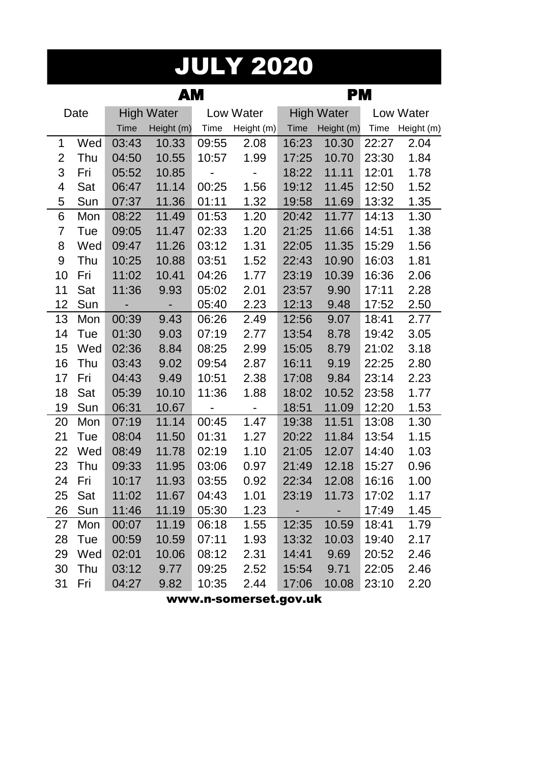#### JULY 2020

|             |      |                          | AМ                |                              | <b>PM</b>  |       |                   |       |            |
|-------------|------|--------------------------|-------------------|------------------------------|------------|-------|-------------------|-------|------------|
|             | Date |                          | <b>High Water</b> |                              | Low Water  |       | <b>High Water</b> |       | Low Water  |
|             |      | <b>Time</b>              | Height (m)        | Time                         | Height (m) | Time  | Height (m)        | Time  | Height (m) |
| $\mathbf 1$ | Wed  | 03:43                    | 10.33             | 09:55                        | 2.08       | 16:23 | 10.30             | 22:27 | 2.04       |
| 2           | Thu  | 04:50                    | 10.55             | 10:57                        | 1.99       | 17:25 | 10.70             | 23:30 | 1.84       |
| 3           | Fri  | 05:52                    | 10.85             | -                            |            | 18:22 | 11.11             | 12:01 | 1.78       |
| 4           | Sat  | 06:47                    | 11.14             | 00:25                        | 1.56       | 19:12 | 11.45             | 12:50 | 1.52       |
| 5           | Sun  | 07:37                    | 11.36             | 01:11                        | 1.32       | 19:58 | 11.69             | 13:32 | 1.35       |
| 6           | Mon  | 08:22                    | 11.49             | 01:53                        | 1.20       | 20:42 | 11.77             | 14:13 | 1.30       |
| 7           | Tue  | 09:05                    | 11.47             | 02:33                        | 1.20       | 21:25 | 11.66             | 14:51 | 1.38       |
| 8           | Wed  | 09:47                    | 11.26             | 03:12                        | 1.31       | 22:05 | 11.35             | 15:29 | 1.56       |
| 9           | Thu  | 10:25                    | 10.88             | 03:51                        | 1.52       | 22:43 | 10.90             | 16:03 | 1.81       |
| 10          | Fri  | 11:02                    | 10.41             | 04:26                        | 1.77       | 23:19 | 10.39             | 16:36 | 2.06       |
| 11          | Sat  | 11:36                    | 9.93              | 05:02                        | 2.01       | 23:57 | 9.90              | 17:11 | 2.28       |
| 12          | Sun  | $\overline{\phantom{0}}$ | -                 | 05:40                        | 2.23       | 12:13 | 9.48              | 17:52 | 2.50       |
| 13          | Mon  | 00:39                    | 9.43              | 06:26                        | 2.49       | 12:56 | 9.07              | 18:41 | 2.77       |
| 14          | Tue  | 01:30                    | 9.03              | 07:19                        | 2.77       | 13:54 | 8.78              | 19:42 | 3.05       |
| 15          | Wed  | 02:36                    | 8.84              | 08:25                        | 2.99       | 15:05 | 8.79              | 21:02 | 3.18       |
| 16          | Thu  | 03:43                    | 9.02              | 09:54                        | 2.87       | 16:11 | 9.19              | 22:25 | 2.80       |
| 17          | Fri  | 04:43                    | 9.49              | 10:51                        | 2.38       | 17:08 | 9.84              | 23:14 | 2.23       |
| 18          | Sat  | 05:39                    | 10.10             | 11:36                        | 1.88       | 18:02 | 10.52             | 23:58 | 1.77       |
| 19          | Sun  | 06:31                    | 10.67             | $\qquad \qquad \blacksquare$ |            | 18:51 | 11.09             | 12:20 | 1.53       |
| 20          | Mon  | 07:19                    | 11.14             | 00:45                        | 1.47       | 19:38 | 11.51             | 13:08 | 1.30       |
| 21          | Tue  | 08:04                    | 11.50             | 01:31                        | 1.27       | 20:22 | 11.84             | 13:54 | 1.15       |
| 22          | Wed  | 08:49                    | 11.78             | 02:19                        | 1.10       | 21:05 | 12.07             | 14:40 | 1.03       |
| 23          | Thu  | 09:33                    | 11.95             | 03:06                        | 0.97       | 21:49 | 12.18             | 15:27 | 0.96       |
| 24          | Fri  | 10:17                    | 11.93             | 03:55                        | 0.92       | 22:34 | 12.08             | 16:16 | 1.00       |
| 25          | Sat  | 11:02                    | 11.67             | 04:43                        | 1.01       | 23:19 | 11.73             | 17:02 | 1.17       |
| 26          | Sun  | 11:46                    | 11.19             | 05:30                        | 1.23       |       |                   | 17:49 | 1.45       |
| 27          | Mon  | 00:07                    | 11.19             | 06:18                        | 1.55       | 12:35 | 10.59             | 18:41 | 1.79       |
| 28          | Tue  | 00:59                    | 10.59             | 07:11                        | 1.93       | 13:32 | 10.03             | 19:40 | 2.17       |
| 29          | Wed  | 02:01                    | 10.06             | 08:12                        | 2.31       | 14:41 | 9.69              | 20:52 | 2.46       |
| 30          | Thu  | 03:12                    | 9.77              | 09:25                        | 2.52       | 15:54 | 9.71              | 22:05 | 2.46       |
| 31          | Fri  | 04:27                    | 9.82              | 10:35                        | 2.44       | 17:06 | 10.08             | 23:10 | 2.20       |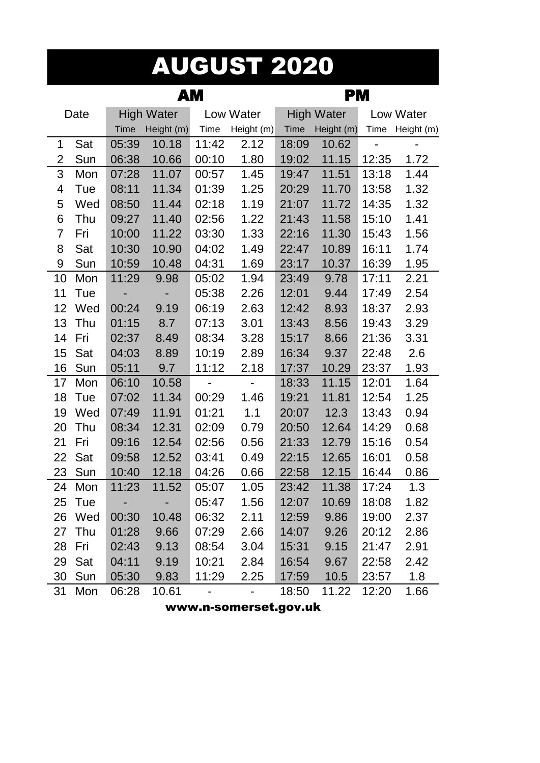#### AUGUST 2020

|                |        |             | AМ                | PМ             |                |             |                   |       |            |
|----------------|--------|-------------|-------------------|----------------|----------------|-------------|-------------------|-------|------------|
|                | Date   |             | <b>High Water</b> |                | Low Water      |             | <b>High Water</b> |       | Low Water  |
|                |        | <b>Time</b> | Height (m)        | Time           | Height (m)     | <b>Time</b> | Height (m)        | Time  | Height (m) |
| 1              | Sat    | 05:39       | 10.18             | 11:42          | 2.12           | 18:09       | 10.62             |       |            |
| 2              | Sun    | 06:38       | 10.66             | 00:10          | 1.80           | 19:02       | 11.15             | 12:35 | 1.72       |
| 3              | Mon    | 07:28       | 11.07             | 00:57          | 1.45           | 19:47       | 11.51             | 13:18 | 1.44       |
| 4              | Tue    | 08:11       | 11.34             | 01:39          | 1.25           | 20:29       | 11.70             | 13:58 | 1.32       |
| 5              | Wed    | 08:50       | 11.44             | 02:18          | 1.19           | 21:07       | 11.72             | 14:35 | 1.32       |
| 6              | Thu    | 09:27       | 11.40             | 02:56          | 1.22           | 21:43       | 11.58             | 15:10 | 1.41       |
| $\overline{7}$ | Fri    | 10:00       | 11.22             | 03:30          | 1.33           | 22:16       | 11.30             | 15:43 | 1.56       |
| 8              | Sat    | 10:30       | 10.90             | 04:02          | 1.49           | 22:47       | 10.89             | 16:11 | 1.74       |
| 9              | Sun    | 10:59       | 10.48             | 04:31          | 1.69           | 23:17       | 10.37             | 16:39 | 1.95       |
| 10             | Mon    | 11:29       | 9.98              | 05:02          | 1.94           | 23:49       | 9.78              | 17:11 | 2.21       |
| 11             | Tue    |             |                   | 05:38          | 2.26           | 12:01       | 9.44              | 17:49 | 2.54       |
| 12             | Wed    | 00:24       | 9.19              | 06:19          | 2.63           | 12:42       | 8.93              | 18:37 | 2.93       |
| 13             | Thu    | 01:15       | 8.7               | 07:13          | 3.01           | 13:43       | 8.56              | 19:43 | 3.29       |
| 14             | Fri    | 02:37       | 8.49              | 08:34          | 3.28           | 15:17       | 8.66              | 21:36 | 3.31       |
| 15             | Sat    | 04:03       | 8.89              | 10:19          | 2.89           | 16:34       | 9.37              | 22:48 | 2.6        |
| 16             | Sun    | 05:11       | 9.7               | 11:12          | 2.18           | 17:37       | 10.29             | 23:37 | 1.93       |
| 17             | Mon    | 06:10       | 10.58             | $\blacksquare$ | $\blacksquare$ | 18:33       | 11.15             | 12:01 | 1.64       |
| 18             | Tue    | 07:02       | 11.34             | 00:29          | 1.46           | 19:21       | 11.81             | 12:54 | 1.25       |
| 19             | Wed    | 07:49       | 11.91             | 01:21          | 1.1            | 20:07       | 12.3              | 13:43 | 0.94       |
| 20             | Thu    | 08:34       | 12.31             | 02:09          | 0.79           | 20:50       | 12.64             | 14:29 | 0.68       |
| 21             | Fri    | 09:16       | 12.54             | 02:56          | 0.56           | 21:33       | 12.79             | 15:16 | 0.54       |
| 22             | Sat    | 09:58       | 12.52             | 03:41          | 0.49           | 22:15       | 12.65             | 16:01 | 0.58       |
| 23             | Sun    | 10:40       | 12.18             | 04:26          | 0.66           | 22:58       | 12.15             | 16:44 | 0.86       |
| 24             | Mon    | 11:23       | 11.52             | 05:07          | 1.05           | 23:42       | 11.38             | 17:24 | 1.3        |
|                | 25 Tue |             |                   | 05:47          | 1.56           | 12:07       | 10.69             | 18:08 | 1.82       |
| 26             | Wed    | 00:30       | 10.48             | 06:32          | 2.11           | 12:59       | 9.86              | 19:00 | 2.37       |
| 27             | Thu    | 01:28       | 9.66              | 07:29          | 2.66           | 14:07       | 9.26              | 20:12 | 2.86       |
| 28             | Fri    | 02:43       | 9.13              | 08:54          | 3.04           | 15:31       | 9.15              | 21:47 | 2.91       |
| 29             | Sat    | 04:11       | 9.19              | 10:21          | 2.84           | 16:54       | 9.67              | 22:58 | 2.42       |
| 30             | Sun    | 05:30       | 9.83              | 11:29          | 2.25           | 17:59       | 10.5              | 23:57 | 1.8        |
| 31             | Mon    | 06:28       | 10.61             |                |                | 18:50       | 11.22             | 12:20 | 1.66       |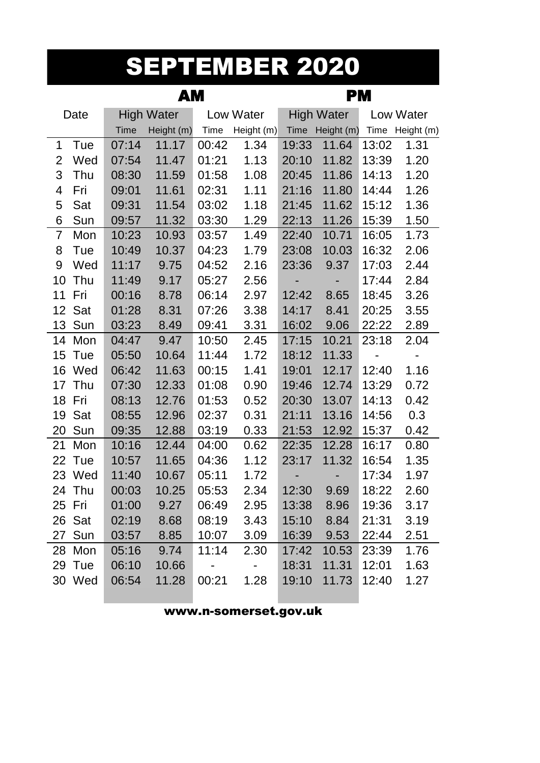#### SEPTEMBER 2020

|                |        |             | AМ                |       |            | PМ          |                   |       |                 |  |  |
|----------------|--------|-------------|-------------------|-------|------------|-------------|-------------------|-------|-----------------|--|--|
|                | Date   |             | <b>High Water</b> |       | Low Water  |             | <b>High Water</b> |       | Low Water       |  |  |
|                |        | <b>Time</b> | Height (m)        | Time  | Height (m) | <b>Time</b> | Height (m)        |       | Time Height (m) |  |  |
| 1              | Tue    | 07:14       | 11.17             | 00:42 | 1.34       | 19:33       | 11.64             | 13:02 | 1.31            |  |  |
| $\overline{2}$ | Wed    | 07:54       | 11.47             | 01:21 | 1.13       | 20:10       | 11.82             | 13:39 | 1.20            |  |  |
| 3              | Thu    | 08:30       | 11.59             | 01:58 | 1.08       | 20:45       | 11.86             | 14:13 | 1.20            |  |  |
| 4              | Fri    | 09:01       | 11.61             | 02:31 | 1.11       | 21:16       | 11.80             | 14:44 | 1.26            |  |  |
| 5              | Sat    | 09:31       | 11.54             | 03:02 | 1.18       | 21:45       | 11.62             | 15:12 | 1.36            |  |  |
| 6              | Sun    | 09:57       | 11.32             | 03:30 | 1.29       | 22:13       | 11.26             | 15:39 | 1.50            |  |  |
| $\overline{7}$ | Mon    | 10:23       | 10.93             | 03:57 | 1.49       | 22:40       | 10.71             | 16:05 | 1.73            |  |  |
| 8              | Tue    | 10:49       | 10.37             | 04:23 | 1.79       | 23:08       | 10.03             | 16:32 | 2.06            |  |  |
| 9              | Wed    | 11:17       | 9.75              | 04:52 | 2.16       | 23:36       | 9.37              | 17:03 | 2.44            |  |  |
| 10             | Thu    | 11:49       | 9.17              | 05:27 | 2.56       |             |                   | 17:44 | 2.84            |  |  |
| 11             | Fri    | 00:16       | 8.78              | 06:14 | 2.97       | 12:42       | 8.65              | 18:45 | 3.26            |  |  |
| 12             | Sat    | 01:28       | 8.31              | 07:26 | 3.38       | 14:17       | 8.41              | 20:25 | 3.55            |  |  |
| 13             | Sun    | 03:23       | 8.49              | 09:41 | 3.31       | 16:02       | 9.06              | 22:22 | 2.89            |  |  |
| 14             | Mon    | 04:47       | 9.47              | 10:50 | 2.45       | 17:15       | 10.21             | 23:18 | 2.04            |  |  |
| 15             | Tue    | 05:50       | 10.64             | 11:44 | 1.72       | 18:12       | 11.33             |       |                 |  |  |
| 16             | Wed    | 06:42       | 11.63             | 00:15 | 1.41       | 19:01       | 12.17             | 12:40 | 1.16            |  |  |
| 17             | Thu    | 07:30       | 12.33             | 01:08 | 0.90       | 19:46       | 12.74             | 13:29 | 0.72            |  |  |
| 18             | Fri    | 08:13       | 12.76             | 01:53 | 0.52       | 20:30       | 13.07             | 14:13 | 0.42            |  |  |
| 19             | Sat    | 08:55       | 12.96             | 02:37 | 0.31       | 21:11       | 13.16             | 14:56 | 0.3             |  |  |
| 20             | Sun    | 09:35       | 12.88             | 03:19 | 0.33       | 21:53       | 12.92             | 15:37 | 0.42            |  |  |
| 21             | Mon    | 10:16       | 12.44             | 04:00 | 0.62       | 22:35       | 12.28             | 16:17 | 0.80            |  |  |
| 22             | Tue    | 10:57       | 11.65             | 04:36 | 1.12       | 23:17       | 11.32             | 16:54 | 1.35            |  |  |
| 23             | Wed    | 11:40       | 10.67             | 05:11 | 1.72       |             |                   | 17:34 | 1.97            |  |  |
| 24             | Thu    | 00:03       | 10.25             | 05:53 | 2.34       | 12:30       | 9.69              | 18:22 | 2.60            |  |  |
|                | 25 Fri | 01:00       | 9.27              | 06:49 | 2.95       | 13:38       | 8.96              | 19:36 | 3.17            |  |  |
|                | 26 Sat | 02:19       | 8.68              | 08:19 | 3.43       | 15:10       | 8.84              | 21:31 | 3.19            |  |  |
|                | 27 Sun | 03:57       | 8.85              | 10:07 | 3.09       | 16:39       | 9.53              | 22:44 | 2.51            |  |  |
|                | 28 Mon | 05:16       | 9.74              | 11:14 | 2.30       | 17:42       | 10.53             | 23:39 | 1.76            |  |  |
|                | 29 Tue | 06:10       | 10.66             |       |            | 18:31       | 11.31             | 12:01 | 1.63            |  |  |
|                | 30 Wed | 06:54       | 11.28             | 00:21 | 1.28       | 19:10       | 11.73             | 12:40 | 1.27            |  |  |
|                |        |             |                   |       |            |             |                   |       |                 |  |  |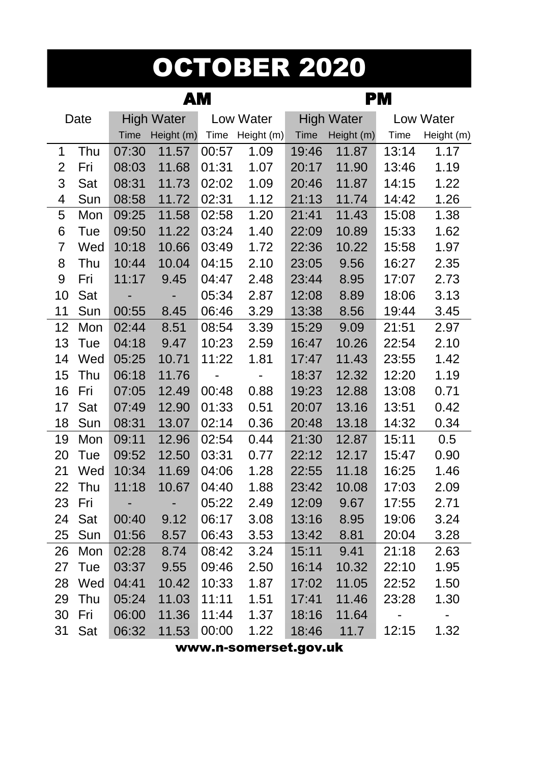## OCTOBER 2020

|                |        |             | AМ                |       |            | <b>PM</b>   |                   |       |            |  |
|----------------|--------|-------------|-------------------|-------|------------|-------------|-------------------|-------|------------|--|
|                | Date   |             | <b>High Water</b> |       | Low Water  |             | <b>High Water</b> |       | Low Water  |  |
|                |        | <b>Time</b> | Height (m)        | Time  | Height (m) | <b>Time</b> | Height (m)        | Time  | Height (m) |  |
| 1              | Thu    | 07:30       | 11.57             | 00:57 | 1.09       | 19:46       | 11.87             | 13:14 | 1.17       |  |
| $\overline{2}$ | Fri    | 08:03       | 11.68             | 01:31 | 1.07       | 20:17       | 11.90             | 13:46 | 1.19       |  |
| 3              | Sat    | 08:31       | 11.73             | 02:02 | 1.09       | 20:46       | 11.87             | 14:15 | 1.22       |  |
| 4              | Sun    | 08:58       | 11.72             | 02:31 | 1.12       | 21:13       | 11.74             | 14:42 | 1.26       |  |
| 5              | Mon    | 09:25       | 11.58             | 02:58 | 1.20       | 21:41       | 11.43             | 15:08 | 1.38       |  |
| 6              | Tue    | 09:50       | 11.22             | 03:24 | 1.40       | 22:09       | 10.89             | 15:33 | 1.62       |  |
| $\overline{7}$ | Wed    | 10:18       | 10.66             | 03:49 | 1.72       | 22:36       | 10.22             | 15:58 | 1.97       |  |
| 8              | Thu    | 10:44       | 10.04             | 04:15 | 2.10       | 23:05       | 9.56              | 16:27 | 2.35       |  |
| 9              | Fri    | 11:17       | 9.45              | 04:47 | 2.48       | 23:44       | 8.95              | 17:07 | 2.73       |  |
| 10             | Sat    | ٠           |                   | 05:34 | 2.87       | 12:08       | 8.89              | 18:06 | 3.13       |  |
| 11             | Sun    | 00:55       | 8.45              | 06:46 | 3.29       | 13:38       | 8.56              | 19:44 | 3.45       |  |
| 12             | Mon    | 02:44       | 8.51              | 08:54 | 3.39       | 15:29       | 9.09              | 21:51 | 2.97       |  |
| 13             | Tue    | 04:18       | 9.47              | 10:23 | 2.59       | 16:47       | 10.26             | 22:54 | 2.10       |  |
| 14             | Wed    | 05:25       | 10.71             | 11:22 | 1.81       | 17:47       | 11.43             | 23:55 | 1.42       |  |
| 15             | Thu    | 06:18       | 11.76             |       |            | 18:37       | 12.32             | 12:20 | 1.19       |  |
| 16             | Fri    | 07:05       | 12.49             | 00:48 | 0.88       | 19:23       | 12.88             | 13:08 | 0.71       |  |
| 17             | Sat    | 07:49       | 12.90             | 01:33 | 0.51       | 20:07       | 13.16             | 13:51 | 0.42       |  |
| 18             | Sun    | 08:31       | 13.07             | 02:14 | 0.36       | 20:48       | 13.18             | 14:32 | 0.34       |  |
| 19             | Mon    | 09:11       | 12.96             | 02:54 | 0.44       | 21:30       | 12.87             | 15:11 | 0.5        |  |
| 20             | Tue    | 09:52       | 12.50             | 03:31 | 0.77       | 22:12       | 12.17             | 15:47 | 0.90       |  |
| 21             | Wed    | 10:34       | 11.69             | 04:06 | 1.28       | 22:55       | 11.18             | 16:25 | 1.46       |  |
| 22             | Thu    | 11:18       | 10.67             | 04:40 | 1.88       | 23:42       | 10.08             | 17:03 | 2.09       |  |
| 23             | Fri    |             |                   | 05:22 | 2.49       | 12:09       | 9.67              | 17:55 | 2.71       |  |
| 24             | Sat    | 00:40       | 9.12              | 06:17 | 3.08       | 13:16       | 8.95              | 19:06 | 3.24       |  |
| 25             | Sun    | 01:56       | 8.57              | 06:43 | 3.53       | 13:42       | 8.81              | 20:04 | 3.28       |  |
| 26             | Mon    | 02:28       | 8.74              | 08:42 | 3.24       | 15:11       | 9.41              | 21:18 | 2.63       |  |
| 27             | Tue    | 03:37       | 9.55              | 09:46 | 2.50       | 16:14       | 10.32             | 22:10 | 1.95       |  |
|                | 28 Wed | 04:41       | 10.42             | 10:33 | 1.87       | 17:02       | 11.05             | 22:52 | 1.50       |  |
| 29             | Thu    | 05:24       | 11.03             | 11:11 | 1.51       | 17:41       | 11.46             | 23:28 | 1.30       |  |
| 30             | Fri    | 06:00       | 11.36             | 11:44 | 1.37       | 18:16       | 11.64             |       |            |  |
| 31             | Sat    | 06:32       | 11.53             | 00:00 | 1.22       | 18:46       | 11.7              | 12:15 | 1.32       |  |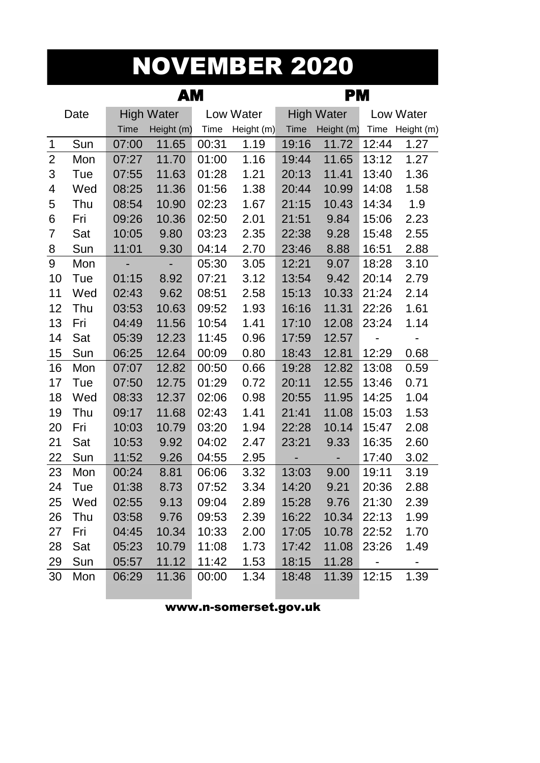### NOVEMBER 2020

|                |      |             | AМ                | PМ    |            |             |                   |       |                          |
|----------------|------|-------------|-------------------|-------|------------|-------------|-------------------|-------|--------------------------|
|                | Date |             | <b>High Water</b> |       | Low Water  |             | <b>High Water</b> |       | Low Water                |
|                |      | <b>Time</b> | Height (m)        | Time  | Height (m) | <b>Time</b> | Height (m)        |       | Time Height (m)          |
| 1              | Sun  | 07:00       | 11.65             | 00:31 | 1.19       | 19:16       | 11.72             | 12:44 | 1.27                     |
| $\overline{2}$ | Mon  | 07:27       | 11.70             | 01:00 | 1.16       | 19:44       | 11.65             | 13:12 | 1.27                     |
| $\mathfrak{S}$ | Tue  | 07:55       | 11.63             | 01:28 | 1.21       | 20:13       | 11.41             | 13:40 | 1.36                     |
| 4              | Wed  | 08:25       | 11.36             | 01:56 | 1.38       | 20:44       | 10.99             | 14:08 | 1.58                     |
| 5              | Thu  | 08:54       | 10.90             | 02:23 | 1.67       | 21:15       | 10.43             | 14:34 | 1.9                      |
| 6              | Fri  | 09:26       | 10.36             | 02:50 | 2.01       | 21:51       | 9.84              | 15:06 | 2.23                     |
| $\overline{7}$ | Sat  | 10:05       | 9.80              | 03:23 | 2.35       | 22:38       | 9.28              | 15:48 | 2.55                     |
| 8              | Sun  | 11:01       | 9.30              | 04:14 | 2.70       | 23:46       | 8.88              | 16:51 | 2.88                     |
| 9              | Mon  | ٠           | ۰                 | 05:30 | 3.05       | 12:21       | 9.07              | 18:28 | 3.10                     |
| 10             | Tue  | 01:15       | 8.92              | 07:21 | 3.12       | 13:54       | 9.42              | 20:14 | 2.79                     |
| 11             | Wed  | 02:43       | 9.62              | 08:51 | 2.58       | 15:13       | 10.33             | 21:24 | 2.14                     |
| 12             | Thu  | 03:53       | 10.63             | 09:52 | 1.93       | 16:16       | 11.31             | 22:26 | 1.61                     |
| 13             | Fri  | 04:49       | 11.56             | 10:54 | 1.41       | 17:10       | 12.08             | 23:24 | 1.14                     |
| 14             | Sat  | 05:39       | 12.23             | 11:45 | 0.96       | 17:59       | 12.57             |       | $\overline{\phantom{0}}$ |
| 15             | Sun  | 06:25       | 12.64             | 00:09 | 0.80       | 18:43       | 12.81             | 12:29 | 0.68                     |
| 16             | Mon  | 07:07       | 12.82             | 00:50 | 0.66       | 19:28       | 12.82             | 13:08 | 0.59                     |
| 17             | Tue  | 07:50       | 12.75             | 01:29 | 0.72       | 20:11       | 12.55             | 13:46 | 0.71                     |
| 18             | Wed  | 08:33       | 12.37             | 02:06 | 0.98       | 20:55       | 11.95             | 14:25 | 1.04                     |
| 19             | Thu  | 09:17       | 11.68             | 02:43 | 1.41       | 21:41       | 11.08             | 15:03 | 1.53                     |
| 20             | Fri  | 10:03       | 10.79             | 03:20 | 1.94       | 22:28       | 10.14             | 15:47 | 2.08                     |
| 21             | Sat  | 10:53       | 9.92              | 04:02 | 2.47       | 23:21       | 9.33              | 16:35 | 2.60                     |
| 22             | Sun  | 11:52       | 9.26              | 04:55 | 2.95       | ÷,          | -                 | 17:40 | 3.02                     |
| 23             | Mon  | 00:24       | 8.81              | 06:06 | 3.32       | 13:03       | 9.00              | 19:11 | 3.19                     |
| 24             | Tue  | 01:38       | 8.73              | 07:52 | 3.34       | 14:20       | 9.21              | 20:36 | 2.88                     |
| 25             | Wed  | 02:55       | 9.13              | 09:04 | 2.89       | 15:28       | 9.76              | 21:30 | 2.39                     |
| 26             | Thu  | 03:58       | 9.76              | 09:53 | 2.39       | 16:22       | 10.34             | 22:13 | 1.99                     |
| 27             | Fri  | 04:45       | 10.34             | 10:33 | 2.00       | 17:05       | 10.78             | 22:52 | 1.70                     |
| 28             | Sat  | 05:23       | 10.79             | 11:08 | 1.73       | 17:42       | 11.08             | 23:26 | 1.49                     |
| 29             | Sun  | 05:57       | 11.12             | 11:42 | 1.53       | 18:15       | 11.28             |       | $\blacksquare$           |
| 30             | Mon  | 06:29       | 11.36             | 00:00 | 1.34       | 18:48       | 11.39             | 12:15 | 1.39                     |
|                |      |             |                   |       |            |             |                   |       |                          |